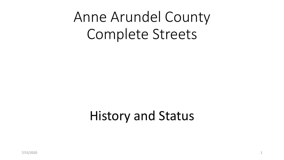# Anne Arundel County Complete Streets

# History and Status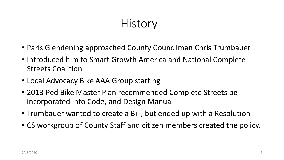# **History**

- Paris Glendening approached County Councilman Chris Trumbauer
- Introduced him to Smart Growth America and National Complete Streets Coalition
- Local Advocacy Bike AAA Group starting
- 2013 Ped Bike Master Plan recommended Complete Streets be incorporated into Code, and Design Manual
- Trumbauer wanted to create a Bill, but ended up with a Resolution
- CS workgroup of County Staff and citizen members created the policy.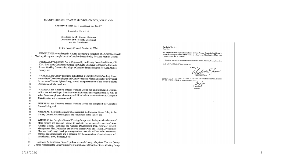### COUNTY COUNCIL OF ANNE ARUNDEL COUNTY, MARYLAND

#### Legislative Session 2014, Legislative Day No. 37

#### Resolution No. 45-14

#### Introduced by Mr. Grasso, Chairman (by request of the County Executive) and Mr. Trumbauer

### By the County Council, October 6, 2014

| ı<br>$\,2$ | RESOLUTION recognizing the County Executive's formation of a Complete Streets           |  |  |  |  |  |  |
|------------|-----------------------------------------------------------------------------------------|--|--|--|--|--|--|
| 3          | Working Group and completion of a Complete Streets Policy for Anne Arundel County       |  |  |  |  |  |  |
| 4          | WHEREAS, by Resolution No. 6-14, passed by the County Council on February 18,           |  |  |  |  |  |  |
| 5          | 2014, the County Council encouraged the County Executive to establish a Complete        |  |  |  |  |  |  |
| 6          | Streets Working Group and to adopt a Complete Streets Program for Anne Arundel          |  |  |  |  |  |  |
| 7          | County; and                                                                             |  |  |  |  |  |  |
| 8          |                                                                                         |  |  |  |  |  |  |
| 9          | WHEREAS, the County Executive did establish a Complete Streets Working Group            |  |  |  |  |  |  |
| 10         | consisting of County employees and County residents with an interest or involvement     |  |  |  |  |  |  |
| 11         | in the use of County rights-of-way, as well as representation of the Home Builders      |  |  |  |  |  |  |
| 12         | Association of Maryland; and                                                            |  |  |  |  |  |  |
| 13         |                                                                                         |  |  |  |  |  |  |
| 14         | WHEREAS, the Complete Streets Working Group met and formulated a policy,                |  |  |  |  |  |  |
| 15         | which has included input from interested individuals and organizations, as well as      |  |  |  |  |  |  |
| 16         | other County employees whose responsibilities include matters relevant to Complete      |  |  |  |  |  |  |
| 17         | Streets policy and procedures; and                                                      |  |  |  |  |  |  |
| 18         |                                                                                         |  |  |  |  |  |  |
| 19<br>20   | WHEREAS, the Complete Streets Working Group has completed the Complete                  |  |  |  |  |  |  |
| 21         | Streets Policy; and                                                                     |  |  |  |  |  |  |
| 22         | WHEREAS, the County Executive has presented the Complete Streets Policy to the          |  |  |  |  |  |  |
| 23         | County Council, which recognizes the completion of the Policy; and                      |  |  |  |  |  |  |
| 24         |                                                                                         |  |  |  |  |  |  |
| 25         | WHEREAS the Complete Streets Working Group, with the input and assistance of            |  |  |  |  |  |  |
| 26         | other persons and agencies, intends to evaluate the planning documents of Anne          |  |  |  |  |  |  |
| 27         | Arundel County, including the General Development Plan, Corridor Growth                 |  |  |  |  |  |  |
| 28         | Management Plan, Pedestrian and Bicycle Master Plan, and Transit Development            |  |  |  |  |  |  |
| 29         | Plan, and the County's development regulations, manuals, and law, and to recommend      |  |  |  |  |  |  |
| 30         | changes and amendments and a schedule for the completion of such changes and            |  |  |  |  |  |  |
| 31         | amendments; now, therefore, be it                                                       |  |  |  |  |  |  |
| 32         |                                                                                         |  |  |  |  |  |  |
| 33         | Resolved by the County Council of Anne Arundel County, Maryland, That the County        |  |  |  |  |  |  |
| 34         | Council recognizes the County Executive's formation of a Complete Streets Working Group |  |  |  |  |  |  |

#### Resolution No. 45-14 Page No. 2

and completion of a Complete Streets Policy for Anne Arundel County, included herein by reference as if fully set forth, a copy of which will be kept by the Administrative Officer to the County Council; and be it further

Resolved, That a copy of this Resolution be sent to Laura A. Neuman, County Executive.  $5\overline{5}$ 

READ AND PASSED this 20<sup>th</sup> day of October, 2014

h E. Jones  $A$ istrative Officer

I HEREBY CERTIFY THAT RESOLUTION NO. 45-14 IS TRUE AND CORRECT AND DULY ADOPTED BY THE COUNTY COUNCIL OF ANNE ARUNDEL COUNTY.

Chairman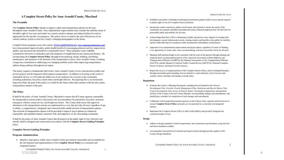### A Complete Streets Policy for Anne Arundel County, Maryland

#### **The Preamble**

The Complete Streets Policy intends to improve safety and transportation options for all users throughout Anne Arundel County. Once implemented, improvements must consider the mobility needs of all public right of way users and modes in a context sensitive manner; providing facilities for each as appropriate for the specific circumstances. This policy strives to achieve the most efficient use of our current roadway system to meet the County's changing demographics in the future.

Complete Streets programs across the country (www.completestreets.org. www.smartarowthamerica.org) have demonstrated improved safety, public health benefits by encouraging physical activity, improved air quality, and increased safe alternatives to automobile travel. These programs create walkable communities that foster revitalization and redevelopment of neighborhoods and commercial districts. By incorporating the Complete Streets Policy throughout the planning, design, building, retrofitting, maintenance, and operation of all elements of the transportation system, Anne Arundel County is making a long-term commitment to addressing ever changing mobility needs while improving transportation options along roadways throughout our region.

This policy requires a fundamental shift in how Anne Arundel County reviews and prioritizes public and private projects and development which impacts transportation. In addition to focusing on the needs of automobile drivers, we will make the fullest use of our roadways for everyone in the community including pedestrians, bicyclists, transit riders and freight delivery. Recognizing this is an incremental, long-term effort, the goal of this policy is to build for the future rather than continue with the auto-centric transportation mindset of the past.

#### **The Policy**

It shall be the policy of Anne Arundel County, Maryland to ensure that all County agencies responsible for transportation systems achieve and sustain safe accommodation for pedestrians, bicyclists, motorists, emergency vehicles, transit service, and freight movement. The County shall ensure that approved alterations to the transportation systems are implemented in a way that provides all users regardless of age or ability, a comprehensive, integrated, and connected multi-modal network of transportation options. This network of transportation options will be provided to improve travel options in a balanced, responsible, and equitable manner consistent with, and supportive of, the surrounding community.

It shall be the policy of Anne Arandel County that all projects in the public right of way, both new and retrofit, shall be designed and constructed in accordance with the Complete Streets Guiding Principles below.

#### **Complete Streets Guiding Principles**

#### **Program Administration**

· Identify a lead agency within Anne Arundel County government responsible and accountable for the development and implementation of the Complete Streets Policy in a consistent and integrated manner.

Complete Streets Policy for Anne Arundel County, Maryland 7/15/2020

- · Establish a procedure evaluating resurfacing/reconstruction projects and/or access permit requests to public right of way for Complete Streets inclusion.
- · Incorporate context sensitivity, public involvement, and outreach to ensure the needs of the community are properly identified and addressed using a balanced approach that will advocate for practicable safety and mobility for all users.
- · Acknowledge that there will be a balancing of public and private costs, impacts to existing land development, current infrastructure needs, existing statutes and benefits to the public for mobility options while allowing for exceptions under documented extraordinary circumstances.
- · Approach every transportation improvement and project phase, regardless of source of funding. as an opportunity to create safer, more accommodating, and more accessible streets for all users.
- · Maintain skill and knowledge levels consistent with the state of the practice through training and using the latest recommended practices of the American Association of State Highway and Transportation Officials (AASHTO), the National Association of City Transportation Officials (NACTO), and the Manual of Uniform Traffic Control Devices (MUTCD), National Complete Streets Coalition, and Smart Growth America.
- · Report the success of implementation of the Complete Streets Policy, and its Guiding Principles, through measurable goals including, but not limited to, crash reduction, level of service and comfort, transit ridership, and changes in mode share.

#### **Regulations**

- · Evaluate the County's Planning Documents, including but not limited to the Goweral Development Plan, Corridor Growth Management Plan, Pedestrian and Bicycle Master Plan, Transit Development Plan, Scenic & Historic Roads, Development Regulations and pertinent Articles of the County Code and County Mamals, recommending changes and amendments, and identifying a schedule for completion of such changes and amendments.
- · Collaborate with transportation partner agencies at the Federal, State, regional and local levels to ensure Complete Streets Policy principles are incorporated in a consistent and integrated manner.
- · Implement the Complete Streets Policy to affect both publicly and privately designed and constructed right of ways.

#### **Design**

- · Adhere to design standards, Federal requirements, and construction specifications, using the best and latest standards available.
- · Accommodate forecasted travel demand and improvements through periodic updates of the County Design Standards.

Complete Streets Policy for Anne Arundel County, Maryland

 $\hat{z}$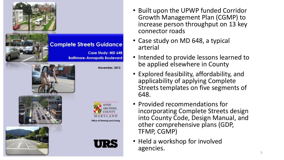

- Built upon the UPWP funded Corridor Growth Management Plan (CGMP) to increase person throughput on 13 key connector roads
- Case study on MD 648, a typical arterial
- Intended to provide lessons learned to be applied elsewhere in County
- Explored feasibility, affordability, and applicability of applying Complete Streets templates on five segments of 648.
- Provided recommendations for incorporating Complete Streets design into County Code, Design Manual, and other comprehensive plans (GDP, TFMP, CGMP)
- Held a workshop for involved agencies.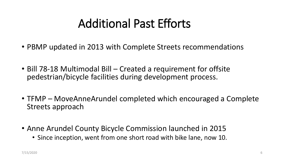# Additional Past Efforts

- PBMP updated in 2013 with Complete Streets recommendations
- Bill 78-18 Multimodal Bill Created a requirement for offsite pedestrian/bicycle facilities during development process.
- TFMP MoveAnneArundel completed which encouraged a Complete Streets approach
- Anne Arundel County Bicycle Commission launched in 2015
	- Since inception, went from one short road with bike lane, now 10.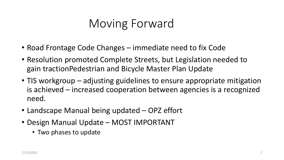# Moving Forward

- Road Frontage Code Changes immediate need to fix Code
- Resolution promoted Complete Streets, but Legislation needed to gain tractionPedestrian and Bicycle Master Plan Update
- TIS workgroup adjusting guidelines to ensure appropriate mitigation is achieved – increased cooperation between agencies is a recognized need.
- Landscape Manual being updated OPZ effort
- Design Manual Update MOST IMPORTANT
	- Two phases to update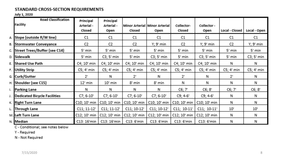### STANDARD CROSS-SECTION REQUIREMENTS

### **July 1, 2020**

|    | <b>Road Classification</b><br>Facility | Principal<br>Arterial -<br>Closed | Principal<br>Arterial -<br>Open. | <b>Closed</b>                | Minor Arterial   Minor Arterial<br><b>Open</b> | Collector-<br>Closed | Collector -<br>Open | Local - Closed | Local - Open  |
|----|----------------------------------------|-----------------------------------|----------------------------------|------------------------------|------------------------------------------------|----------------------|---------------------|----------------|---------------|
|    | A. Slope (outside R/W line)            | C1                                | C1                               | C1                           | C1.                                            | C1                   | C1                  | C1             | C1            |
|    | <b>B. Stormwater Conveyance</b>        | C2                                | C2                               | C2                           | Y; 9' min l                                    | C2                   | $Y$ ; 9' min        | C2             | Y; 9' min.    |
|    | C. Street Trees/Buffer (see C14)       | 5' min.                           | 5' min.                          | $5'$ min                     | 5' mini                                        | 5' min.              | 5' mini             | $5r$ min.      | 5' mini       |
|    | D. Sidewalk                            | 5' min.                           | $CS$ ; 5' min.                   | $5'$ min.                    | C3; 5' min                                     | 5' min.              | $CS$ ; 5' min.      | 5' min.        | $C3; 5'$ min. |
|    | E. Shared Use Path                     | $C4; 10'$ min.                    | C4; 10' min.                     | C4; 10' min.                 | C4; 10' min.                                   | C4; 10' min          | C4; 10' min         | N              | N             |
|    | <b>F. Utility Strip</b>                | C5; 4' min.                       | $CS$ ; 4' min.                   | $CS$ ; 4' min                | $CS$ ; $4"$ min.                               | $CS$ ; 4' min.       | CS; 4' min          | $CS$ ; 4' min. | C5; 4' min.   |
|    | G. Curb/Gutter                         | $2^{\circ}$                       | N                                | $2^{\circ}$                  | N                                              | $2^{\circ}$          | N                   | $2^{\circ}$    | N.            |
|    | H. Shoulder (see C15)                  | $12^{\circ}$ min                  | $10^{\circ}$ min                 | 8' mini                      | 8' mini                                        | NL                   | N                   | N              | N             |
| Ι. | <b>Parking Lane</b>                    | N                                 | N                                | N                            | N                                              | C6; 7"               | C6; 8"              | CG; 7"         | C6; 8'        |
|    | J. Dedicated Bicycle Facilities        | $C7; 6-10"$                       | $C7; 6-10"$                      | $C7; 6-10"$                  | $C7; 6-10"$                                    | $C9; 4-6'$           | $C9; 4-6'$          | N              | N             |
|    | K. Right Turn Lane                     | C10; 10' min                      | $C10; 10'$ min                   | $C10; 10'$ min               | C10; 10' min                                   | C10; 10' min         | C10; 10' min.       | N              | N.            |
|    | L. Through Lane                        | $C11; 11-12'$                     | $C11; 11-12'$                    | $C11$ ; $10-12$ <sup>'</sup> | $C11$ ; $10-12$ <sup>*</sup>                   | $C11; 10-11'$        | $C11; 10-11'$       | $10^{\circ}$   | $10^{\circ}$  |
|    | M. Left Turn Lane                      | $C12$ ; $10'$ min                 | $C12; 10'$ min                   | $C12; 10'$ min               | C12; 10' min                                   | C12; 10' min         | $C12$ ; $10'$ min   | N              | N             |
|    | N. Median                              | C13: 16'min                       | C13: 16'min                      | C13:6'min                    | C13: 6'min                                     | C13:6'min            | C13: 6'min.         | N              | N             |

C - Conditional; see notes below

Y - Required

N - Not Required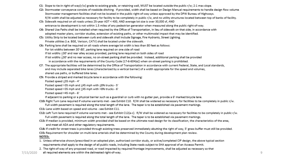- C1: Slope to tie-in right-of-way(r/w) grade to existing grade, or retaining wall, MUST be located outside the public r/w; 2:1 max slope.
- C2: Stormwater conveyance consists of roadside ditching. If provided, width shall be based on Design Manual requirements to handle design flow volume. Stormwater management facilities shall not be located in the public right-of-way unless approved by the DPW Bureau of Highways. R/W width shall be adjusted as necessary for facility to be completely in public r/w, and no utility structures located between top of banks of facility.
- C3: Sidewalk required on all roads unless 25-year ADT < 400, AND average lot size is over 30,000 sf, AND entrance to development is not within 1.5 miles of any pedestrian generator when measured along the public right-of-way.
- C4: Shared Use Paths shall be installed when required by the Office of Transportation, in lieu of sidewalk on that side, in accordance with adopted master plans, corridor studies, extension of existing paths, or other multimodal impact that may be identified.
- C5: Utility Strip to be located between curb and sidewalk shall include Signage, Fire Hydrants, Street Lighting. Private utilities (i.e. BGE, Verison, CATV) shall be located under the sidewalk.
- C6: Parking lane shall be required on all roads where average lot width is less than 80 feet as follows:

For lot widths between 30'-80', parking lane required on one side of road

If lot widths <30' and rear alley access provided, parking lane required on both sides of road

If lot widths <30' and no rear access, no on-street parking shall be provided. Instead, additional parking shall be provided in accordance with the requirements of the County Code (17-6-604(e)) when on-street parking is prohibited.

- C7: The appropriate facilities will be determined by the Office of Transportation in accordance with current Federal, State, and Local standards, and may include separated bike lanes (characterized by a vertical barrier) of a width appropriate for the speed and volumes, shared use paths, or buffered bike lanes.
- C9: Provide a striped and marked bicycle lane in accordance with the following:

Posted speed <35 mph - 4'

Posted speed >35 mph and <45 mph with <8% trucks - 5'

Posted speed >35 mph and <45 mph with >8% trucks - 6'

Posted speed >45 mph - 6'

If adjacent to parking or a physical barrier such as a guardrail or curb with no gutter pan, provide a 6' marked bicycle lane.

C10: Right Turn Lane required if volume warrants met - see Exhibit C10. R/W shall be widened as necessary for facilities to be completely in public r/w. Full width pavement is required along the total length of the lane. The taper is to be established via pavement markings.

C11: Lane width based on speed and volume - see Exhibit C11.

- C12: Left Turn lane required if volume warrants met see Exhibit C12(a-c). R/W shall be widened as necessary for facilities to be completely in public r/w. Full width pavement is required along the total length of the lane. The taper is to be established via pavement markings.
- C13: If median is provided, minimum width provided shall be based on the ultimate road design for its classification, the characteristics of the area, and meet all ADA and other regulatory requirements.

C14: If credit for street trees is provided through existing trees preserved immediately abutting the right of way, 5' grass buffer must still be provided.

C15: Requirement for shoulder on multi-lane arterials shall be determined by the County during development plan review.

### NOTES:

- 1. Unless otherwise shown/prescribed in an adopted plan, authorized corridor study, or active/completed CIP design, the above typical section requirements shall apply to the design of all public roads, including State roads subject to SHA approval of an Accesss Permit.
- 2. The right-of-way of any proposed road, or road impacted by required frontage improvements, shall be adjusted as necessary so that

all required elements are within the delineated right-of-way. 7/15/2020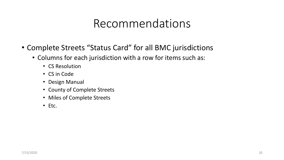## Recommendations

- Complete Streets "Status Card" for all BMC jurisdictions
	- Columns for each jurisdiction with a row for items such as:
		- CS Resolution
		- CS in Code
		- Design Manual
		- County of Complete Streets
		- Miles of Complete Streets
		- Etc.